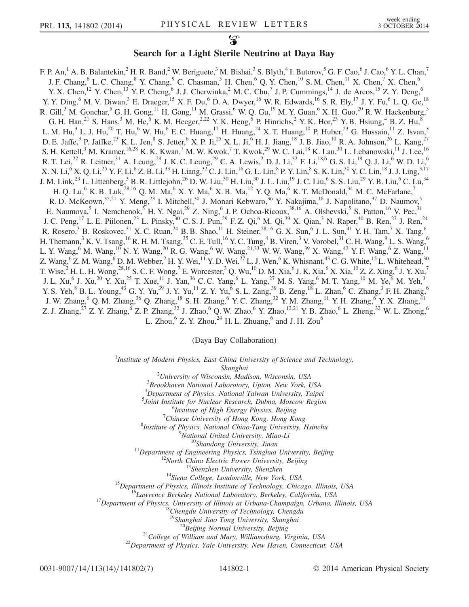## Search for a Light Sterile Neutrino at Daya Bay

F. P. An,<sup>1</sup> A. B. Balantekin,<sup>2</sup> H. R. Band,<sup>2</sup> W. Beriguete,<sup>3</sup> M. Bishai,<sup>3</sup> S. Blyth,<sup>4</sup> I. Butorov,<sup>5</sup> G. F. Cao,<sup>6</sup> J. Cao,<sup>6</sup> Y. L. Chan,<sup>7</sup> J. F. Chang,  $6$  L. C. Chang,  $8$  Y. Chang,  $9$  C. Chasman,  $3$  H. Chen,  $6$  Q. Y. Chen,  $10$  S. M. Chen,  $11$  X. Chen,  $7$  X. Chen,  $6$ Y. X. Chen,<sup>12</sup> Y. Chen,<sup>13</sup> Y. P. Cheng,<sup>6</sup> J. J. Cherwinka,<sup>2</sup> M. C. Chu,<sup>7</sup> J. P. Cummings,<sup>14</sup> J. de Arcos,<sup>15</sup> Z. Y. Deng,<sup>6</sup> Y. Y. Ding,  $6$  M. V. Diwan,  $3$  E. Draeger,  $15$  X. F. Du,  $6$  D. A. Dwyer,  $16$  W. R. Edwards,  $16$  S. R. Ely,  $17$  J. Y. Fu,  $6$  L. Q. Ge,  $18$ R. Gill,<sup>3</sup> M. Gonchar,<sup>5</sup> G. H. Gong,<sup>11</sup> H. Gong,<sup>11</sup> M. Grassi,<sup>6</sup> W. Q. Gu,<sup>19</sup> M. Y. Guan,<sup>6</sup> X. H. Guo,<sup>20</sup> R. W. Hackenburg,<sup>3</sup> G. H. Han,<sup>21</sup> S. Hans,<sup>3</sup> M. He,<sup>6</sup> K. M. Heeger,<sup>2,22</sup> Y. K. Heng,<sup>6</sup> P. Hinrichs,<sup>2</sup> Y. K. Hor,<sup>23</sup> Y. B. Hsiung,<sup>4</sup> B. Z. Hu,<sup>8</sup> L. M. Hu,<sup>3</sup> L. J. Hu,<sup>20</sup> T. Hu,<sup>6</sup> W. Hu,<sup>6</sup> E. C. Huang,<sup>17</sup> H. Huang,<sup>24</sup> X. T. Huang,<sup>10</sup> P. Huber,<sup>23</sup> G. Hussain,<sup>11</sup> Z. Isvan,<sup>3</sup> D. E. Jaffe,<sup>3</sup> P. Jaffke,<sup>23</sup> K. L. Jen,<sup>8</sup> S. Jetter,<sup>6</sup> X. P. Ji,<sup>25</sup> X. L. Ji,<sup>6</sup> H. J. Jiang,<sup>18</sup> J. B. Jiao,<sup>10</sup> R. A. Johnson,<sup>26</sup> L. Kang,<sup>27</sup> S. H. Kettell,<sup>3</sup> M. Kramer,<sup>16,28</sup> K. K. Kwan,<sup>7</sup> M. W. Kwok,<sup>7</sup> T. Kwok,<sup>29</sup> W. C. Lai,<sup>18</sup> K. Lau,<sup>30</sup> L. Lebanowski,<sup>11</sup> J. Lee,<sup>16</sup> R. T. Lei,<sup>27</sup> R. Leitner,<sup>31</sup> A. Leung,<sup>29</sup> J. K. C. Leung,<sup>29</sup> C. A. Lewis,<sup>2</sup> D. J. Li,<sup>32</sup> F. Li,<sup>18,6</sup> G. S. Li,<sup>19</sup> Q. J. Li,<sup>6</sup> W. D. Li,<sup>6</sup> X. N. Li,  $6$  X. Q. Li,  $2^5$  Y. F. Li,  $6$  Z. B. Li,  $3^3$  H. Liang,  $3^2$  C. J. Lin,  $16$  G. L. Lin,  $8$  P. Y. Lin,  $8$  S. K. Lin,  $30$  Y. C. Lin,  $18$  J. J. Ling,  $3,17$ J. M. Link, $^{23}$  L. Littenberg, $^3$  B. R. Littlejohn, $^{26}$  D. W. Liu, $^{30}$  H. Liu, $^{30}$  J. L. Liu, $^{19}$  J. C. Liu, $^6$  S. S. Liu, $^{29}$  Y. B. Liu, $^6$  C. Lu, $^{34}$ H. Q. Lu,<sup>6</sup> K. B. Luk,<sup>28,16</sup> Q. M. Ma,<sup>6</sup> X. Y. Ma,<sup>6</sup> X. B. Ma,<sup>12</sup> Y. Q. Ma,<sup>6</sup> K. T. McDonald,<sup>34</sup> M. C. McFarlane,<sup>2</sup> R. D. McKeown,<sup>35,21</sup> Y. Meng,<sup>23</sup> I. Mitchell,<sup>30</sup> J. Monari Kebwaro,<sup>36</sup> Y. Nakajima,<sup>16</sup> J. Napolitano,<sup>37</sup> D. Naumov,<sup>5</sup> E. Naumova,<sup>5</sup> I. Nemchenok,<sup>5</sup> H. Y. Ngai,<sup>29</sup> Z. Ning,<sup>6</sup> J. P. Ochoa-Ricoux,<sup>38,16</sup> A. Olshevski,<sup>5</sup> S. Patton,<sup>16</sup> V. Pec,<sup>31</sup> J. C. Peng,<sup>17</sup> L. E. Piilonen,<sup>23</sup> L. Pinsky,<sup>30</sup> C. S. J. Pun,<sup>29</sup> F. Z. Qi,<sup>6</sup> M. Qi,<sup>39</sup> X. Qian,<sup>3</sup> N. Raper,<sup>40</sup> B. Ren,<sup>27</sup> J. Ren,<sup>24</sup> R. Rosero,<sup>3</sup> B. Roskovec,<sup>31</sup> X. C. Ruan,<sup>24</sup> B. B. Shao,<sup>11</sup> H. Steiner,<sup>28,16</sup> G. X. Sun,<sup>6</sup> J. L. Sun,<sup>41</sup> Y. H. Tam,<sup>7</sup> X. Tang,<sup>6</sup> H. Themann,<sup>3</sup> K. V. Tsang,<sup>16</sup> R. H. M. Tsang,<sup>35</sup> C. E. Tull,<sup>16</sup> Y. C. Tung,<sup>4</sup> B. Viren,<sup>3</sup> V. Vorobel,<sup>31</sup> C. H. Wang,<sup>9</sup> L. S. Wang,<sup>6</sup> L. Y. Wang,<sup>6</sup> M. Wang,<sup>10</sup> N. Y. Wang,<sup>20</sup> R. G. Wang,<sup>6</sup> W. Wang,<sup>21,33</sup> W. W. Wang,<sup>39</sup> X. Wang,<sup>42</sup> Y. F. Wang,<sup>6</sup> Z. Wang,<sup>11</sup> Z. Wang,  $6Z$ . M. Wang,  $6D$ . M. Webber,  $2H$ . Y. Wei,  $11Y$ . D. Wei,  $27L$ . J. Wen,  $6K$ . Whisnant,  $43C$ . G. White,  $15L$ . Whitehead,  $30K$ T. Wise,<sup>2</sup> H. L. H. Wong,<sup>28,16</sup> S. C. F. Wong,<sup>7</sup> E. Worcester,<sup>3</sup> Q. Wu,<sup>10</sup> D. M. Xia,<sup>6</sup> J. K. Xia,<sup>6</sup> X. Xia,<sup>10</sup> Z. Z. Xing,<sup>6</sup> J. Y. Xu,<sup>7</sup> J. L. Xu,<sup>6</sup> J. Xu,<sup>20</sup> Y. Xu,<sup>25</sup> T. Xue,<sup>11</sup> J. Yan,<sup>36</sup> C. C. Yang,<sup>6</sup> L. Yang,<sup>27</sup> M. S. Yang,<sup>6</sup> M. T. Yang,<sup>10</sup> M. Ye,<sup>6</sup> M. Yeh,<sup>3</sup> Y. S. Yeh,  $8$  B. L. Young,  $43$  G. Y. Yu,  $39$  J. Y. Yu,  $^{11}$  Z. Y. Yu,  $6$  S. L. Zang,  $39$  B. Zeng,  $18$  L. Zhan,  $6$  C. Zhang,  $3$  F. H. Zhang,  $6$ J. W. Zhang,<sup>6</sup> Q. M. Zhang,<sup>36</sup> Q. Zhang,<sup>18</sup> S. H. Zhang,<sup>6</sup> Y. C. Zhang,<sup>32</sup> Y. M. Zhang,<sup>11</sup> Y. H. Zhang,<sup>6</sup> Y. X. Zhang,<sup>41</sup> Z. J. Zhang,<sup>27</sup> Z. Y. Zhang,<sup>6</sup> Z. P. Zhang,<sup>32</sup> J. Zhao,<sup>6</sup> Q. W. Zhao,<sup>6</sup> Y. Zhao,<sup>12,21</sup> Y. B. Zhao,<sup>6</sup> L. Zheng,<sup>32</sup> W. L. Zhong,<sup>6</sup> L. Zhou,  $^{6}$  Z. Y. Zhou,  $^{24}$  H. L. Zhuang,  $^{6}$  and J. H. Zou $^{6}$ 

(Daya Bay Collaboration)

<sup>1</sup>Institute of Modern Physics, East China University of Science and Technology,

Shanghai<br><sup>2</sup>Haiyovity of Wisconsin, Mad <sup>2</sup> University of Wisconsin, Madison, Wisconsin, USA<br><sup>3</sup> Brookhayay, National Laboratory, Unton, Nay, York, I

 $3B$ rookhaven National Laboratory, Upton, New York, USA

<sup>4</sup> Department of Physics, National Taiwan University, Taipei

 $<sup>5</sup>$ Joint Institute for Nuclear Research, Dubna, Moscow Region</sup>

 $<sup>6</sup>$ Institute of High Energy Physics, Beijing</sup>

 $\alpha$ <sup>7</sup>Chinese University of Hong Kong, Hong Kong

<sup>8</sup>Institute of Physics, National Chiao-Tung University, Hsinchu<br><sup>9</sup>National United University, Miao-Li

<sup>11</sup>Department of Engineering Physics, Tsinghua University, Beijing<br><sup>12</sup>North China Electric Power University, Beijing<br><sup>12</sup>North China Electric Power University, Beijing<br><sup>13</sup>Shenzhen University, Shenzhen<br><sup>14</sup>Siena College

<sup>19</sup>Shanghai Jiao Tong University, Shanghai<br><sup>20</sup>Beijing Normal University, Beijing<br><sup>21</sup>College of William and Mary, Williamsburg, Virginia, USA<br><sup>22</sup>Department of Physics, Yale University, New Haven, Connecticut, USA

0031-9007/14/113(14)/141802(7) 141802-1 © 2014 American Physical Society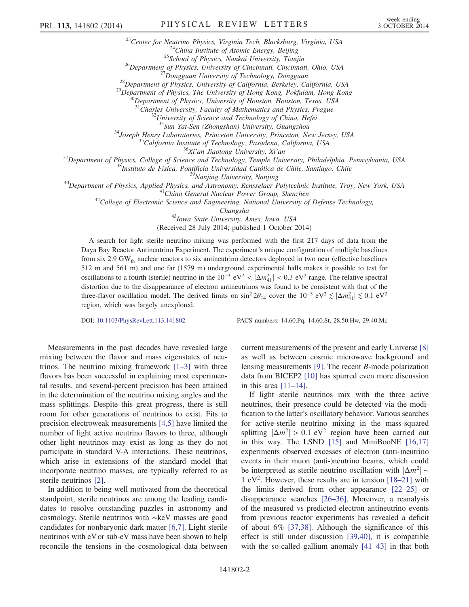<sup>23</sup>Center for Neutrino Physics, Virginia Tech, Blacksburg, Virginia, USA<br><sup>24</sup>China Institute of Atomic Energy, Beijing<br><sup>25</sup>School of Physics, Nankai University, Tianjin<br><sup>26</sup>Department of Physics, University of Cincinnati

<sup>31</sup>Charles University, Faculty of Mathematics and Physics, Prague<br><sup>32</sup>University of Science and Technology of China, Hefei<br><sup>33</sup>Sun Yat-Sen (Zhongshan) University, Guangzhou

<sup>33</sup>Sun Yat-Sen (Zhongshan) University, Guangzhou<br><sup>34</sup>Joseph Henry Laboratories, Princeton University, Princeton, New Jersey, USA<br><sup>35</sup>California Institute of Technology, Pasadena, California, USA<br><sup>36</sup>Xi'an Jiaotong Univer

Changsha <sup>43</sup>Iowa State University, Ames, Iowa, USA

(Received 28 July 2014; published 1 October 2014)

A search for light sterile neutrino mixing was performed with the first 217 days of data from the Daya Bay Reactor Antineutrino Experiment. The experiment's unique configuration of multiple baselines from six 2.9 GW $_{th}$  nuclear reactors to six antineutrino detectors deployed in two near (effective baselines 512 m and 561 m) and one far (1579 m) underground experimental halls makes it possible to test for oscillations to a fourth (sterile) neutrino in the  $10^{-3}$  eV<sup>2</sup> <  $|\Delta m_{41}^2|$  < 0.3 eV<sup>2</sup> range. The relative spectral distortion due to the disappearance of electron antineutrinos was found to be consistent with that of the three-flavor oscillation model. The derived limits on  $\sin^2 2\theta_{14}$  cover the  $10^{-3} eV^2 \lesssim |\Delta m_{41}^2| \lesssim 0.1 eV^2$ region, which was largely unexplored.

DOI: [10.1103/PhysRevLett.113.141802](http://dx.doi.org/10.1103/PhysRevLett.113.141802) PACS numbers: 14.60.Pq, 14.60.St, 28.50.Hw, 29.40.Mc

Measurements in the past decades have revealed large mixing between the flavor and mass eigenstates of neutrinos. The neutrino mixing framework  $[1-3]$  $[1-3]$  with three flavors has been successful in explaining most experimental results, and several-percent precision has been attained in the determination of the neutrino mixing angles and the mass splittings. Despite this great progress, there is still room for other generations of neutrinos to exist. Fits to precision electroweak measurements [\[4,5\]](#page-5-1) have limited the number of light active neutrino flavors to three, although other light neutrinos may exist as long as they do not participate in standard V-A interactions. These neutrinos, which arise in extensions of the standard model that incorporate neutrino masses, are typically referred to as sterile neutrinos [\[2\]](#page-5-2).

In addition to being well motivated from the theoretical standpoint, sterile neutrinos are among the leading candidates to resolve outstanding puzzles in astronomy and cosmology. Sterile neutrinos with ∼keV masses are good candidates for nonbaryonic dark matter [\[6,7\]](#page-5-3). Light sterile neutrinos with eV or sub-eV mass have been shown to help reconcile the tensions in the cosmological data between current measurements of the present and early Universe [\[8\]](#page-5-4) as well as between cosmic microwave background and lensing measurements [\[9\].](#page-5-5) The recent B-mode polarization data from BICEP2 [\[10\]](#page-5-6) has spurred even more discussion in this area  $[11-14]$  $[11-14]$ .

If light sterile neutrinos mix with the three active neutrinos, their presence could be detected via the modification to the latter's oscillatory behavior. Various searches for active-sterile neutrino mixing in the mass-squared splitting  $|\Delta m^2| > 0.1$  eV<sup>2</sup> region have been carried out in this way. The LSND [\[15\]](#page-5-8) and MiniBooNE [\[16,17\]](#page-5-9) experiments observed excesses of electron (anti-)neutrino events in their muon (anti-)neutrino beams, which could be interpreted as sterile neutrino oscillation with  $|\Delta m^2|$  ~ 1 eV<sup>2</sup>. However, these results are in tension [\[18](#page-5-10)–21] with the limits derived from other appearance [\[22](#page-5-11)–25] or disappearance searches [\[26](#page-5-12)–36]. Moreover, a reanalysis of the measured vs predicted electron antineutrino events from previous reactor experiments has revealed a deficit of about 6% [\[37,38\]](#page-5-13). Although the significance of this effect is still under discussion [\[39,40\]](#page-5-14), it is compatible with the so-called gallium anomaly [\[41](#page-5-15)–43] in that both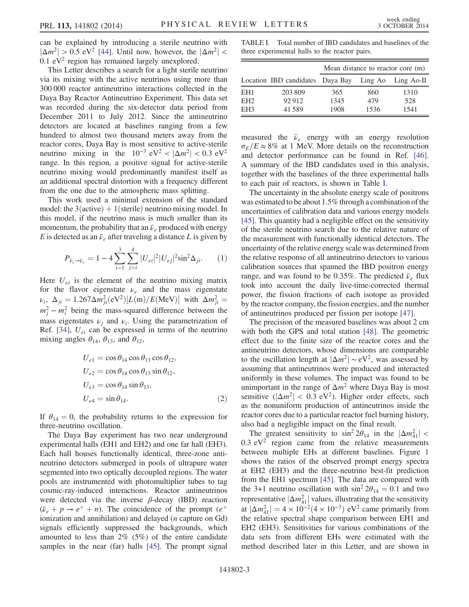can be explained by introducing a sterile neutrino with  $|\Delta m^2| > 0.5$  eV<sup>2</sup> [\[44\].](#page-6-0) Until now, however, the  $|\Delta m^2|$  <  $0.1$  eV<sup>2</sup> region has remained largely unexplored.

This Letter describes a search for a light sterile neutrino via its mixing with the active neutrinos using more than 300 000 reactor antineutrino interactions collected in the Daya Bay Reactor Antineutrino Experiment. This data set was recorded during the six-detector data period from December 2011 to July 2012. Since the antineutrino detectors are located at baselines ranging from a few hundred to almost two thousand meters away from the reactor cores, Daya Bay is most sensitive to active-sterile neutrino mixing in the  $10^{-3}$  eV<sup>2</sup> <  $|\Delta m^2|$  < 0.3 eV<sup>2</sup> range. In this region, a positive signal for active-sterile neutrino mixing would predominantly manifest itself as an additional spectral distortion with a frequency different from the one due to the atmospheric mass splitting.

This work used a minimal extension of the standard model: the  $3(active) + 1(sterile)$  neutrino mixing model. In this model, if the neutrino mass is much smaller than its momentum, the probability that an  $\bar{\nu}_e$  produced with energy E is detected as an  $\bar{\nu}_e$  after traveling a distance L is given by

$$
P_{\bar{\nu}_e \to \bar{\nu}_e} = 1 - 4 \sum_{i=1}^3 \sum_{j>i}^4 |U_{ei}|^2 |U_{ej}|^2 \sin^2 \Delta_{ji}.
$$
 (1)

Here  $U_{ei}$  is the element of the neutrino mixing matrix for the flavor eigenstate  $\nu_e$  and the mass eigenstate  $\nu_i$ ,  $\Delta_{ji} = 1.267 \Delta m_{ji}^2 (eV^2) [L(m)/E(MeV)]$  with  $\Delta m_{ji}^2 =$  $m_j^2 - m_i^2$  being the mass-squared difference between the mass eigenstates  $\nu_i$  and  $\nu_i$ . Using the parametrization of Ref. [\[34\],](#page-5-16)  $U_{ei}$  can be expressed in terms of the neutrino mixing angles  $\theta_{14}$ ,  $\theta_{13}$ , and  $\theta_{12}$ ,

$$
U_{e1} = \cos \theta_{14} \cos \theta_{13} \cos \theta_{12},
$$
  
\n
$$
U_{e2} = \cos \theta_{14} \cos \theta_{13} \sin \theta_{12},
$$
  
\n
$$
U_{e3} = \cos \theta_{14} \sin \theta_{13},
$$
  
\n
$$
U_{e4} = \sin \theta_{14}.
$$
 (2)

If  $\theta_{14} = 0$ , the probability returns to the expression for three-neutrino oscillation.

The Daya Bay experiment has two near underground experimental halls (EH1 and EH2) and one far hall (EH3). Each hall houses functionally identical, three-zone antineutrino detectors submerged in pools of ultrapure water segmented into two optically decoupled regions. The water pools are instrumented with photomultiplier tubes to tag cosmic-ray-induced interactions. Reactor antineutrinos were detected via the inverse  $\beta$ -decay (IBD) reaction  $(\bar{\nu}_e + p \rightarrow e^+ + n)$ . The coincidence of the prompt  $(e^+$ ionization and annihilation) and delayed  $(n$  capture on Gd) signals efficiently suppressed the backgrounds, which amounted to less than 2% (5%) of the entire candidate samples in the near (far) halls [\[45\].](#page-6-1) The prompt signal

<span id="page-2-0"></span>TABLE I. Total number of IBD candidates and baselines of the three experimental halls to the reactor pairs.

|                 |                                  | Mean distance to reactor core (m) |         |            |
|-----------------|----------------------------------|-----------------------------------|---------|------------|
|                 | Location IBD candidates Daya Bay |                                   | Ling Ao | Ling Ao-II |
| EH <sub>1</sub> | 203 809                          | 365                               | 860     | 1310       |
| EH <sub>2</sub> | 92912                            | 1345                              | 479     | 528        |
| EH <sub>3</sub> | 41 5 89                          | 1908                              | 1536    | 1541       |

measured the  $\bar{\nu}_e$  energy with an energy resolution  $\sigma_E/E \approx 8\%$  at 1 MeV. More details on the reconstruction and detector performance can be found in Ref. [\[46\]](#page-6-2). A summary of the IBD candidates used in this analysis, together with the baselines of the three experimental halls to each pair of reactors, is shown in Table [I](#page-2-0).

The uncertainty in the absolute energy scale of positrons was estimated to be about 1.5% through a combination of the uncertainties of calibration data and various energy models [\[45\]](#page-6-1). This quantity had a negligible effect on the sensitivity of the sterile neutrino search due to the relative nature of the measurement with functionally identical detectors. The uncertainty of the relative energy scale was determined from the relative response of all antineutrino detectors to various calibration sources that spanned the IBD positron energy range, and was found to be 0.35%. The predicted  $\bar{\nu}_e$  flux took into account the daily live-time-corrected thermal power, the fission fractions of each isotope as provided by the reactor company, the fission energies, and the number of antineutrinos produced per fission per isotope [\[47\].](#page-6-3)

The precision of the measured baselines was about 2 cm with both the GPS and total station [\[48\].](#page-6-4) The geometric effect due to the finite size of the reactor cores and the antineutrino detectors, whose dimensions are comparable to the oscillation length at  $|\Delta m^2| \sim eV^2$ , was assessed by assuming that antineutrinos were produced and interacted uniformly in these volumes. The impact was found to be unimportant in the range of  $\Delta m^2$  where Daya Bay is most sensitive ( $|\Delta m^2|$  < 0.3 eV<sup>2</sup>). Higher order effects, such as the nonuniform production of antineutrinos inside the reactor cores due to a particular reactor fuel burning history, also had a negligible impact on the final result.

The greatest sensitivity to  $\sin^2 2\theta_{14}$  in the  $|\Delta m_{41}^2|$  <  $0.3$  eV<sup>2</sup> region came from the relative measurements between multiple EHs at different baselines. Figure [1](#page-3-0) shows the ratios of the observed prompt energy spectra at EH2 (EH3) and the three-neutrino best-fit prediction from the EH1 spectrum [\[45\]](#page-6-1). The data are compared with the 3+1 neutrino oscillation with  $\sin^2 2\theta_{14} = 0.1$  and two representative  $|\Delta m_{41}^2|$  values, illustrating that the sensitivity at  $|\Delta m_{41}^2| = 4 \times 10^{-2} (4 \times 10^{-3})$  eV<sup>2</sup> came primarily from the relative spectral shape comparison between EH1 and EH2 (EH3). Sensitivities for various combinations of the data sets from different EHs were estimated with the method described later in this Letter, and are shown in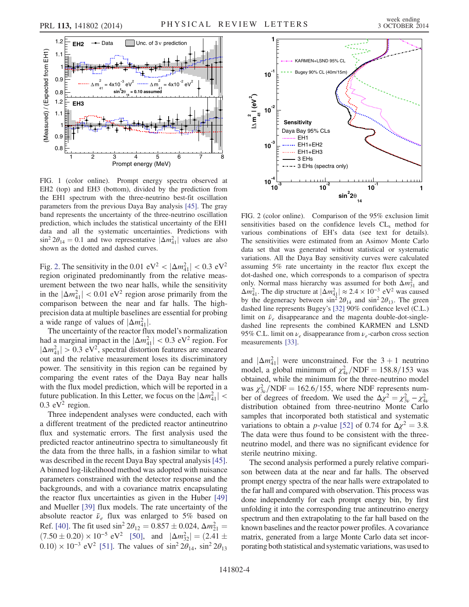<span id="page-3-0"></span>

FIG. 1 (color online). Prompt energy spectra observed at EH2 (top) and EH3 (bottom), divided by the prediction from the EH1 spectrum with the three-neutrino best-fit oscillation parameters from the previous Daya Bay analysis [\[45\]](#page-6-1). The gray band represents the uncertainty of the three-neutrino oscillation prediction, which includes the statistical uncertainty of the EH1 data and all the systematic uncertainties. Predictions with  $\sin^2 2\theta_{14} = 0.1$  and two representative  $|\Delta m_{41}^2|$  values are also shown as the dotted and dashed curves.

Fig. [2](#page-3-1). The sensitivity in the 0.01  $eV^2 < |\Delta m_{41}^2| < 0.3 eV^2$ region originated predominantly from the relative measurement between the two near halls, while the sensitivity in the  $|\Delta m_{41}^2|$  < 0.01 eV<sup>2</sup> region arose primarily from the comparison between the near and far halls. The highprecision data at multiple baselines are essential for probing a wide range of values of  $|\Delta m_{41}^2|$ .

The uncertainty of the reactor flux model's normalization had a marginal impact in the  $|\Delta m_{41}^2| < 0.3 \text{ eV}^2$  region. For  $|\Delta m_{41}^2| > 0.3 \text{ eV}^2$ , spectral distortion features are smeared out and the relative measurement loses its discriminatory power. The sensitivity in this region can be regained by comparing the event rates of the Daya Bay near halls with the flux model prediction, which will be reported in a future publication. In this Letter, we focus on the  $|\Delta m_{41}^2|$  <  $0.3$  eV<sup>2</sup> region.

Three independent analyses were conducted, each with a different treatment of the predicted reactor antineutrino flux and systematic errors. The first analysis used the predicted reactor antineutrino spectra to simultaneously fit the data from the three halls, in a fashion similar to what was described in the recent Daya Bay spectral analysis [\[45\]](#page-6-1). A binned log-likelihood method was adopted with nuisance parameters constrained with the detector response and the backgrounds, and with a covariance matrix encapsulating the reactor flux uncertainties as given in the Huber [\[49\]](#page-6-5) and Mueller [\[39\]](#page-5-14) flux models. The rate uncertainty of the absolute reactor  $\bar{\nu}_e$  flux was enlarged to 5% based on Ref. [\[40\].](#page-5-17) The fit used  $\sin^2 2\theta_{12} = 0.857 \pm 0.024$ ,  $\Delta m_{21}^2 =$  $(7.50 \pm 0.20) \times 10^{-5}$  eV<sup>2</sup> [\[50\],](#page-6-6) and  $|\Delta m_{32}^2| = (2.41 \pm 1.00)$ 0.10) × 10<sup>-3</sup> eV<sup>2</sup> [\[51\]](#page-6-7). The values of sin<sup>2</sup>  $2\theta_{14}$ , sin<sup>2</sup>  $2\theta_{13}$ 

<span id="page-3-1"></span>

FIG. 2 (color online). Comparison of the 95% exclusion limit sensitivities based on the confidence levels  $CL<sub>s</sub>$  method for various combinations of EH's data (see text for details). The sensitivities were estimated from an Asimov Monte Carlo data set that was generated without statistical or systematic variations. All the Daya Bay sensitivity curves were calculated assuming 5% rate uncertainty in the reactor flux except the dot-dashed one, which corresponds to a comparison of spectra only. Normal mass hierarchy was assumed for both  $\Delta m_{31}^2$  and  $\Delta m_{41}^2$ . The dip structure at  $|\Delta m_{41}^2| \approx 2.4 \times 10^{-3}$  eV<sup>2</sup> was caused by the degeneracy between  $\sin^2 2\theta_{14}$  and  $\sin^2 2\theta_{13}$ . The green dashed line represents Bugey's [\[32\]](#page-5-18) 90% confidence level (C.L.) limit on  $\bar{\nu}_e$  disappearance and the magenta double-dot-singledashed line represents the combined KARMEN and LSND 95% C.L. limit on  $\nu_e$  disappearance from  $\nu_e$ -carbon cross section measurements [\[33\].](#page-5-19)

and  $|\Delta m_{41}^2|$  were unconstrained. For the 3 + 1 neutrino model, a global minimum of  $\chi^2_{4\nu} / \text{NDF} = 158.8 / 153$  was obtained, while the minimum for the three-neutrino model was  $\chi_{3\nu}^2/\text{NDF} = 162.6/155$ , where NDF represents number of degrees of freedom. We used the  $\Delta \chi^2 = \chi^2_{3\nu} - \chi^2_{4\nu}$ distribution obtained from three-neutrino Monte Carlo samples that incorporated both statistical and systematic variations to obtain a *p*-value [\[52\]](#page-6-8) of 0.74 for  $\Delta \chi^2 = 3.8$ . The data were thus found to be consistent with the threeneutrino model, and there was no significant evidence for sterile neutrino mixing.

The second analysis performed a purely relative comparison between data at the near and far halls. The observed prompt energy spectra of the near halls were extrapolated to the far hall and compared with observation. This process was done independently for each prompt energy bin, by first unfolding it into the corresponding true antineutrino energy spectrum and then extrapolating to the far hall based on the known baselines and the reactor power profiles. A covariance matrix, generated from a large Monte Carlo data set incorporating both statistical and systematic variations, was used to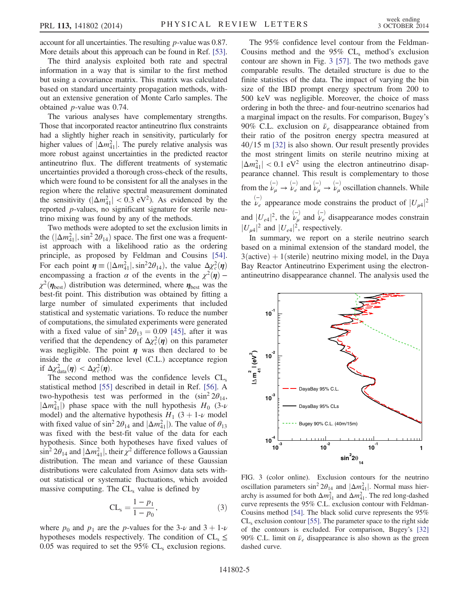account for all uncertainties. The resulting p-value was 0.87. More details about this approach can be found in Ref. [\[53\]](#page-6-9).

The third analysis exploited both rate and spectral information in a way that is similar to the first method but using a covariance matrix. This matrix was calculated based on standard uncertainty propagation methods, without an extensive generation of Monte Carlo samples. The obtained p-value was 0.74.

The various analyses have complementary strengths. Those that incorporated reactor antineutrino flux constraints had a slightly higher reach in sensitivity, particularly for higher values of  $|\Delta m_{41}^2|$ . The purely relative analysis was more robust against uncertainties in the predicted reactor antineutrino flux. The different treatments of systematic uncertainties provided a thorough cross-check of the results, which were found to be consistent for all the analyses in the region where the relative spectral measurement dominated the sensitivity  $(|\Delta m_{41}^2| < 0.3 \text{ eV}^2)$ . As evidenced by the reported p-values, no significant signature for sterile neutrino mixing was found by any of the methods.

Two methods were adopted to set the exclusion limits in the  $(|\Delta m_{41}^2|, \sin^2 2\theta_{14})$  space. The first one was a frequentist approach with a likelihood ratio as the ordering principle, as proposed by Feldman and Cousins [\[54\]](#page-6-10). For each point  $\eta \equiv (|\Delta m_{41}^2|, \sin^2 2\theta_{14})$ , the value  $\Delta \chi_c^2(\eta)$ encompassing a fraction  $\alpha$  of the events in the  $\chi^2(\eta)$  –  $\chi^2(\eta_{\text{best}})$  distribution was determined, where  $\eta_{\text{best}}$  was the best-fit point. This distribution was obtained by fitting a large number of simulated experiments that included statistical and systematic variations. To reduce the number of computations, the simulated experiments were generated with a fixed value of  $\sin^2 2\theta_{13} = 0.09$  [\[45\]](#page-6-1), after it was verified that the dependency of  $\Delta \chi^2_c(\eta)$  on this parameter was negligible. The point  $\eta$  was then declared to be inside the  $\alpha$  confidence level (C.L.) acceptance region if  $\Delta \chi^2_{data}(\eta) < \Delta \chi^2_{c}(\eta)$ .

The second method was the confidence levels  $CL<sub>s</sub>$ statistical method [\[55\]](#page-6-11) described in detail in Ref. [\[56\]](#page-6-12). A two-hypothesis test was performed in the  $(\sin^2 2\theta_{14},$  $|\Delta m_{41}^2|$ ) phase space with the null hypothesis  $H_0$  (3- $\nu$ ) model) and the alternative hypothesis  $H_1$  (3 + 1- $\nu$  model with fixed value of  $\sin^2 2\theta_{14}$  and  $|\Delta m_{41}^2|$ ). The value of  $\theta_{13}$ was fixed with the best-fit value of the data for each hypothesis. Since both hypotheses have fixed values of  $\sin^2 2\theta_{14}$  and  $|\Delta m_{41}^2|$ , their  $\chi^2$  difference follows a Gaussian distribution. The mean and variance of these Gaussian distributions were calculated from Asimov data sets without statistical or systematic fluctuations, which avoided massive computing. The  $CL<sub>s</sub>$  value is defined by

$$
CL_{s} = \frac{1 - p_{1}}{1 - p_{0}},
$$
\n(3)

where  $p_0$  and  $p_1$  are the p-values for the 3-v and 3 + 1-v hypotheses models respectively. The condition of  $CL_s \leq$ 0.05 was required to set the 95%  $CL<sub>s</sub>$  exclusion regions.

The 95% confidence level contour from the Feldman-Cousins method and the  $95\%$  CL<sub>s</sub> method's exclusion contour are shown in Fig. [3](#page-4-0) [\[57\].](#page-6-13) The two methods gave comparable results. The detailed structure is due to the finite statistics of the data. The impact of varying the bin size of the IBD prompt energy spectrum from 200 to 500 keV was negligible. Moreover, the choice of mass ordering in both the three- and four-neutrino scenarios had a marginal impact on the results. For comparison, Bugey's 90% C.L. exclusion on  $\bar{\nu}_e$  disappearance obtained from their ratio of the positron energy spectra measured at  $40/15$  m [\[32\]](#page-5-18) is also shown. Our result presently provides the most stringent limits on sterile neutrino mixing at  $|\Delta m_{41}^2|$  < 0.1 eV<sup>2</sup> using the electron antineutrino disappearance channel. This result is complementary to those from the  $\stackrel{(-)}{\nu_{\mu}} \rightarrow \stackrel{(-)}{\nu_{e}}$  and  $\stackrel{(-)}{\nu_{\mu}} \rightarrow \stackrel{(-)}{\nu_{\mu}}$  oscillation channels. While the  $\stackrel{(-)}{\nu_e}$  appearance mode constrains the product of  $|U_{\mu 4}|^2$ and  $|U_{e4}|^2$ , the  $\stackrel{(-)}{\nu_{\mu}}$  and  $\stackrel{(-)}{\nu_{e}}$  disappearance modes constrain  $|U_{\mu 4}|^2$  and  $|U_{e4}|^2$ , respectively.

In summary, we report on a sterile neutrino search based on a minimal extension of the standard model, the  $3(active) + 1(sterile)$  neutrino mixing model, in the Daya Bay Reactor Antineutrino Experiment using the electronantineutrino disappearance channel. The analysis used the

<span id="page-4-0"></span>

FIG. 3 (color online). Exclusion contours for the neutrino oscillation parameters  $\sin^2 2\theta_{14}$  and  $|\Delta m_{41}^2|$ . Normal mass hierarchy is assumed for both  $\Delta m_{31}^2$  and  $\Delta m_{41}^2$ . The red long-dashed curve represents the 95% C.L. exclusion contour with Feldman-Cousins method [\[54\].](#page-6-10) The black solid curve represents the 95%  $CL<sub>s</sub>$  exclusion contour [\[55\]](#page-6-11). The parameter space to the right side of the contours is excluded. For comparison, Bugey's [\[32\]](#page-5-18) 90% C.L. limit on  $\bar{\nu}_e$  disappearance is also shown as the green dashed curve.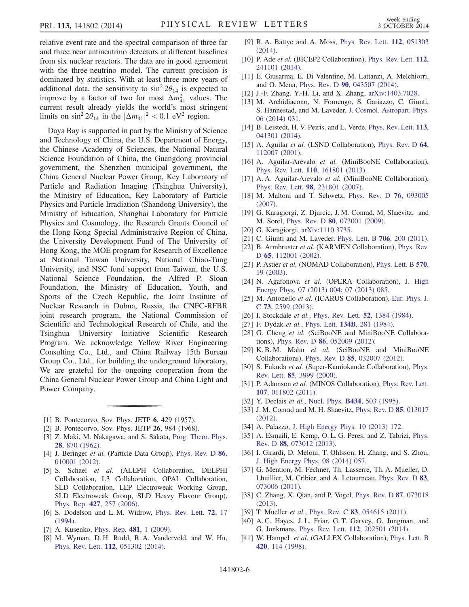relative event rate and the spectral comparison of three far and three near antineutrino detectors at different baselines from six nuclear reactors. The data are in good agreement with the three-neutrino model. The current precision is dominated by statistics. With at least three more years of additional data, the sensitivity to  $\sin^2 2\theta_{14}$  is expected to improve by a factor of two for most  $\Delta m_{41}^2$  values. The current result already yields the world's most stringent limits on  $\sin^2 2\theta_{14}$  in the  $|\Delta m_{41}|^2 < 0.1$  eV<sup>2</sup> region.

Daya Bay is supported in part by the Ministry of Science and Technology of China, the U.S. Department of Energy, the Chinese Academy of Sciences, the National Natural Science Foundation of China, the Guangdong provincial government, the Shenzhen municipal government, the China General Nuclear Power Group, Key Laboratory of Particle and Radiation Imaging (Tsinghua University), the Ministry of Education, Key Laboratory of Particle Physics and Particle Irradiation (Shandong University), the Ministry of Education, Shanghai Laboratory for Particle Physics and Cosmology, the Research Grants Council of the Hong Kong Special Administrative Region of China, the University Development Fund of The University of Hong Kong, the MOE program for Research of Excellence at National Taiwan University, National Chiao-Tung University, and NSC fund support from Taiwan, the U.S. National Science Foundation, the Alfred P. Sloan Foundation, the Ministry of Education, Youth, and Sports of the Czech Republic, the Joint Institute of Nuclear Research in Dubna, Russia, the CNFC-RFBR joint research program, the National Commission of Scientific and Technological Research of Chile, and the Tsinghua University Initiative Scientific Research Program. We acknowledge Yellow River Engineering Consulting Co., Ltd., and China Railway 15th Bureau Group Co., Ltd., for building the underground laboratory. We are grateful for the ongoing cooperation from the China General Nuclear Power Group and China Light and Power Company.

- <span id="page-5-2"></span><span id="page-5-0"></span>[1] B. Pontecorvo, Sov. Phys. JETP **6**, 429 (1957).
- [2] B. Pontecorvo, Sov. Phys. JETP 26, 984 (1968).
- [3] Z. Maki, M. Nakagawa, and S. Sakata, [Prog. Theor. Phys.](http://dx.doi.org/10.1143/PTP.28.870) 28[, 870 \(1962\).](http://dx.doi.org/10.1143/PTP.28.870)
- <span id="page-5-1"></span>[4] J. Beringer et al. (Particle Data Group), [Phys. Rev. D](http://dx.doi.org/10.1103/PhysRevD.86.010001) 86, [010001 \(2012\).](http://dx.doi.org/10.1103/PhysRevD.86.010001)
- [5] S. Schael et al. (ALEPH Collaboration, DELPHI Collaboration, L3 Collaboration, OPAL Collaboration, SLD Collaboration, LEP Electroweak Working Group, SLD Electroweak Group, SLD Heavy Flavour Group), Phys. Rep. 427[, 257 \(2006\).](http://dx.doi.org/10.1016/j.physrep.2005.12.006)
- <span id="page-5-3"></span>[6] S. Dodelson and L. M. Widrow, [Phys. Rev. Lett.](http://dx.doi.org/10.1103/PhysRevLett.72.17) 72, 17 [\(1994\).](http://dx.doi.org/10.1103/PhysRevLett.72.17)
- <span id="page-5-4"></span>[7] A. Kusenko, [Phys. Rep.](http://dx.doi.org/10.1016/j.physrep.2009.07.004) 481, 1 (2009).
- [8] M. Wyman, D. H. Rudd, R. A. Vanderveld, and W. Hu, Phys. Rev. Lett. 112[, 051302 \(2014\).](http://dx.doi.org/10.1103/PhysRevLett.112.051302)
- <span id="page-5-5"></span>[9] R. A. Battye and A. Moss, [Phys. Rev. Lett.](http://dx.doi.org/10.1103/PhysRevLett.112.051303) 112, 051303 [\(2014\).](http://dx.doi.org/10.1103/PhysRevLett.112.051303)
- <span id="page-5-6"></span>[10] P. Ade et al. (BICEP2 Collaboration), [Phys. Rev. Lett.](http://dx.doi.org/10.1103/PhysRevLett.112.241101) 112, [241101 \(2014\).](http://dx.doi.org/10.1103/PhysRevLett.112.241101)
- <span id="page-5-7"></span>[11] E. Giusarma, E. Di Valentino, M. Lattanzi, A. Melchiorri, and O. Mena, Phys. Rev. D 90[, 043507 \(2014\)](http://dx.doi.org/10.1103/PhysRevD.90.043507).
- [12] J.-F. Zhang, Y.-H. Li, and X. Zhang, [arXiv:1403.7028.](http://arXiv.org/abs/1403.7028)
- [13] M. Archidiacono, N. Fornengo, S. Gariazzo, C. Giunti, S. Hannestad, and M. Laveder, [J. Cosmol. Astropart. Phys.](http://dx.doi.org/10.1088/1475-7516/2014/06/031) [06 \(2014\) 031.](http://dx.doi.org/10.1088/1475-7516/2014/06/031)
- [14] B. Leistedt, H. V. Peiris, and L. Verde, [Phys. Rev. Lett.](http://dx.doi.org/10.1103/PhysRevLett.113.041301) 113, [041301 \(2014\).](http://dx.doi.org/10.1103/PhysRevLett.113.041301)
- <span id="page-5-8"></span>[15] A. Aguilar *et al.* (LSND Collaboration), [Phys. Rev. D](http://dx.doi.org/10.1103/PhysRevD.64.112007) 64, [112007 \(2001\).](http://dx.doi.org/10.1103/PhysRevD.64.112007)
- <span id="page-5-9"></span>[16] A. Aguilar-Arevalo et al. (MiniBooNE Collaboration), Phys. Rev. Lett. 110[, 161801 \(2013\).](http://dx.doi.org/10.1103/PhysRevLett.110.161801)
- [17] A. A. Aguilar-Arevalo et al. (MiniBooNE Collaboration), Phys. Rev. Lett. 98[, 231801 \(2007\)](http://dx.doi.org/10.1103/PhysRevLett.98.231801).
- <span id="page-5-10"></span>[18] M. Maltoni and T. Schwetz, [Phys. Rev. D](http://dx.doi.org/10.1103/PhysRevD.76.093005) **76**, 093005 [\(2007\).](http://dx.doi.org/10.1103/PhysRevD.76.093005)
- [19] G. Karagiorgi, Z. Djurcic, J. M. Conrad, M. Shaevitz, and M. Sorel, Phys. Rev. D 80[, 073001 \(2009\)](http://dx.doi.org/10.1103/PhysRevD.80.073001).
- [20] G. Karagiorgi, [arXiv:1110.3735.](http://arXiv.org/abs/1110.3735)
- <span id="page-5-11"></span>[21] C. Giunti and M. Laveder, [Phys. Lett. B](http://dx.doi.org/10.1016/j.physletb.2011.11.015) **706**, 200 (2011).
- [22] B. Armbruster et al. (KARMEN Collaboration), [Phys. Rev.](http://dx.doi.org/10.1103/PhysRevD.65.112001) <sup>D</sup> 65[, 112001 \(2002\)](http://dx.doi.org/10.1103/PhysRevD.65.112001).
- [23] P. Astier et al. (NOMAD Collaboration), [Phys. Lett. B](http://dx.doi.org/10.1016/j.physletb.2003.07.029) 570, [19 \(2003\).](http://dx.doi.org/10.1016/j.physletb.2003.07.029)
- [24] N. Agafonova et al. (OPERA Collaboration), [J. High](http://dx.doi.org/10.1007/JHEP07(2013)004) [Energy Phys. 07 \(2013\) 004;](http://dx.doi.org/10.1007/JHEP07(2013)004) [07 \(2013\) 085.](http://dx.doi.org/10.1007/JHEP07(2013)085)
- [25] M. Antonello et al. (ICARUS Collaboration), [Eur. Phys. J.](http://dx.doi.org/10.1140/epjc/s10052-013-2599-z) <sup>C</sup> 73[, 2599 \(2013\)](http://dx.doi.org/10.1140/epjc/s10052-013-2599-z).
- <span id="page-5-12"></span>[26] I. Stockdale et al., [Phys. Rev. Lett.](http://dx.doi.org/10.1103/PhysRevLett.52.1384) **52**, 1384 (1984).
- [27] F. Dydak et al., Phys. Lett. 134B[, 281 \(1984\)](http://dx.doi.org/10.1016/0370-2693(84)90688-9).
- [28] G. Cheng et al. (SciBooNE and MiniBooNE Collaborations), Phys. Rev. D 86[, 052009 \(2012\).](http://dx.doi.org/10.1103/PhysRevD.86.052009)
- [29] K. B. M. Mahn et al. (SciBooNE and MiniBooNE Collaborations), Phys. Rev. D 85[, 032007 \(2012\).](http://dx.doi.org/10.1103/PhysRevD.85.032007)
- [30] S. Fukuda et al. (Super-Kamiokande Collaboration), [Phys.](http://dx.doi.org/10.1103/PhysRevLett.85.3999) Rev. Lett. 85[, 3999 \(2000\)](http://dx.doi.org/10.1103/PhysRevLett.85.3999).
- [31] P. Adamson et al. (MINOS Collaboration), [Phys. Rev. Lett.](http://dx.doi.org/10.1103/PhysRevLett.107.011802) 107[, 011802 \(2011\).](http://dx.doi.org/10.1103/PhysRevLett.107.011802)
- <span id="page-5-19"></span><span id="page-5-18"></span>[32] Y. Declais et al., Nucl. Phys. **B434**[, 503 \(1995\)](http://dx.doi.org/10.1016/0550-3213(94)00513-E).
- <span id="page-5-16"></span>[33] J. M. Conrad and M. H. Shaevitz, [Phys. Rev. D](http://dx.doi.org/10.1103/PhysRevD.85.013017) 85, 013017 [\(2012\).](http://dx.doi.org/10.1103/PhysRevD.85.013017)
- [34] A. Palazzo, [J. High Energy Phys. 10 \(2013\) 172.](http://dx.doi.org/10.1007/JHEP10(2013)172)
- [35] A. Esmaili, E. Kemp, O. L. G. Peres, and Z. Tabrizi, [Phys.](http://dx.doi.org/10.1103/PhysRevD.88.073012) Rev. D 88[, 073012 \(2013\)](http://dx.doi.org/10.1103/PhysRevD.88.073012).
- <span id="page-5-13"></span>[36] I. Girardi, D. Meloni, T. Ohlsson, H. Zhang, and S. Zhou, [J. High Energy Phys. 08 \(2014\) 057.](http://dx.doi.org/10.1007/JHEP08(2014)057)
- [37] G. Mention, M. Fechner, Th. Lasserre, Th. A. Mueller, D. Lhuillier, M. Cribier, and A. Letourneau, [Phys. Rev. D](http://dx.doi.org/10.1103/PhysRevD.83.073006) 83, [073006 \(2011\).](http://dx.doi.org/10.1103/PhysRevD.83.073006)
- <span id="page-5-14"></span>[38] C. Zhang, X. Qian, and P. Vogel, [Phys. Rev. D](http://dx.doi.org/10.1103/PhysRevD.87.073018) **87**, 073018 [\(2013\).](http://dx.doi.org/10.1103/PhysRevD.87.073018)
- <span id="page-5-17"></span>[39] T. Mueller *et al.*, Phys. Rev. C **83**[, 054615 \(2011\)](http://dx.doi.org/10.1103/PhysRevC.83.054615).
- <span id="page-5-15"></span>[40] A. C. Hayes, J. L. Friar, G. T. Garvey, G. Jungman, and G. Jonkmans, Phys. Rev. Lett. 112[, 202501 \(2014\).](http://dx.doi.org/10.1103/PhysRevLett.112.202501)
- [41] W. Hampel et al. (GALLEX Collaboration), [Phys. Lett. B](http://dx.doi.org/10.1016/S0370-2693(97)01562-1) 420[, 114 \(1998\)](http://dx.doi.org/10.1016/S0370-2693(97)01562-1).